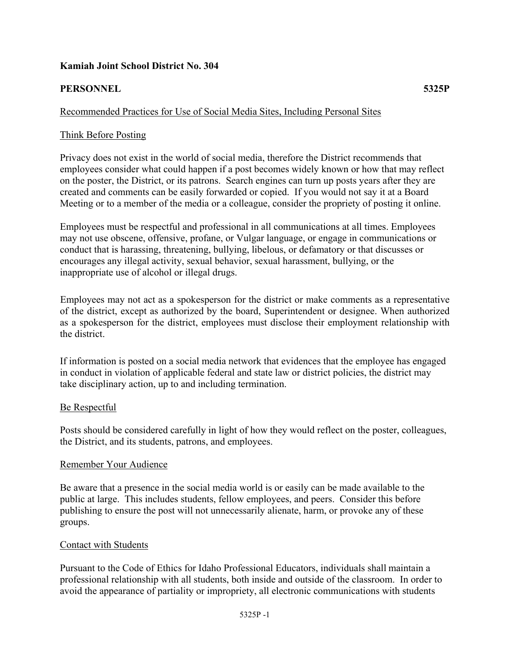## **Kamiah Joint School District No. 304**

## **PERSONNEL 5325P**

#### Recommended Practices for Use of Social Media Sites, Including Personal Sites

#### Think Before Posting

Privacy does not exist in the world of social media, therefore the District recommends that employees consider what could happen if a post becomes widely known or how that may reflect on the poster, the District, or its patrons. Search engines can turn up posts years after they are created and comments can be easily forwarded or copied. If you would not say it at a Board Meeting or to a member of the media or a colleague, consider the propriety of posting it online.

Employees must be respectful and professional in all communications at all times. Employees may not use obscene, offensive, profane, or Vulgar language, or engage in communications or conduct that is harassing, threatening, bullying, libelous, or defamatory or that discusses or encourages any illegal activity, sexual behavior, sexual harassment, bullying, or the inappropriate use of alcohol or illegal drugs.

Employees may not act as a spokesperson for the district or make comments as a representative of the district, except as authorized by the board, Superintendent or designee. When authorized as a spokesperson for the district, employees must disclose their employment relationship with the district.

If information is posted on a social media network that evidences that the employee has engaged in conduct in violation of applicable federal and state law or district policies, the district may take disciplinary action, up to and including termination.

#### Be Respectful

Posts should be considered carefully in light of how they would reflect on the poster, colleagues, the District, and its students, patrons, and employees.

#### Remember Your Audience

Be aware that a presence in the social media world is or easily can be made available to the public at large. This includes students, fellow employees, and peers. Consider this before publishing to ensure the post will not unnecessarily alienate, harm, or provoke any of these groups.

#### Contact with Students

Pursuant to the Code of Ethics for Idaho Professional Educators, individuals shall maintain a professional relationship with all students, both inside and outside of the classroom. In order to avoid the appearance of partiality or impropriety, all electronic communications with students